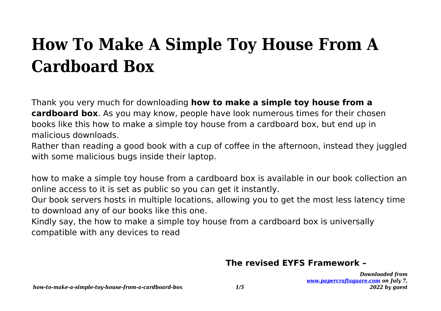# **How To Make A Simple Toy House From A Cardboard Box**

Thank you very much for downloading **how to make a simple toy house from a cardboard box**. As you may know, people have look numerous times for their chosen books like this how to make a simple toy house from a cardboard box, but end up in malicious downloads.

Rather than reading a good book with a cup of coffee in the afternoon, instead they juggled with some malicious bugs inside their laptop.

how to make a simple toy house from a cardboard box is available in our book collection an online access to it is set as public so you can get it instantly.

Our book servers hosts in multiple locations, allowing you to get the most less latency time to download any of our books like this one.

Kindly say, the how to make a simple toy house from a cardboard box is universally compatible with any devices to read

#### **The revised EYFS Framework –**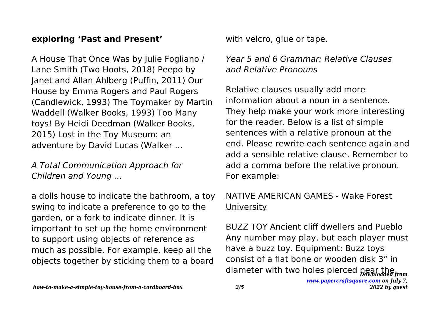#### **exploring 'Past and Present'**

A House That Once Was by Julie Fogliano / Lane Smith (Two Hoots, 2018) Peepo by Janet and Allan Ahlberg (Puffin, 2011) Our House by Emma Rogers and Paul Rogers (Candlewick, 1993) The Toymaker by Martin Waddell (Walker Books, 1993) Too Many toys! By Heidi Deedman (Walker Books, 2015) Lost in the Toy Museum: an adventure by David Lucas (Walker ...

#### A Total Communication Approach for Children and Young …

a dolls house to indicate the bathroom, a toy swing to indicate a preference to go to the garden, or a fork to indicate dinner. It is important to set up the home environment to support using objects of reference as much as possible. For example, keep all the objects together by sticking them to a board

with velcro, glue or tape.

## Year 5 and 6 Grammar: Relative Clauses and Relative Pronouns

Relative clauses usually add more information about a noun in a sentence. They help make your work more interesting for the reader. Below is a list of simple sentences with a relative pronoun at the end. Please rewrite each sentence again and add a sensible relative clause. Remember to add a comma before the relative pronoun. For example:

### NATIVE AMERICAN GAMES - Wake Forest **University**

diameter with two holes pierced pear the rom BUZZ TOY Ancient cliff dwellers and Pueblo Any number may play, but each player must have a buzz toy. Equipment: Buzz toys consist of a flat bone or wooden disk 3" in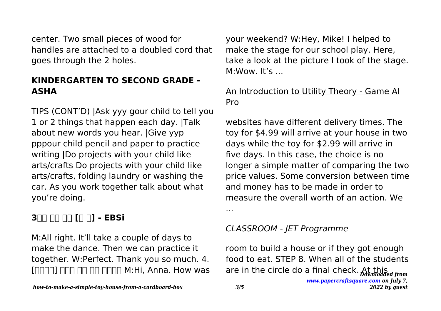center. Two small pieces of wood for handles are attached to a doubled cord that goes through the 2 holes.

## **KINDERGARTEN TO SECOND GRADE - ASHA**

TIPS (CONT'D) |Ask yyy gour child to tell you 1 or 2 things that happen each day. |Talk about new words you hear. |Give yyp pppour child pencil and paper to practice writing |Do projects with your child like arts/crafts Do projects with your child like arts/crafts, folding laundry or washing the car. As you work together talk about what you're doing.

## **3교시 영어 영역 [듣 기] - EBSi**

M:All right. It'll take a couple of days to make the dance. Then we can practice it together. W:Perfect. Thank you so much. 4.  $[$ [ $[$  $[$  $[$  $[$  $]$  $[$  $]$  $[$  $[$  $]$  $[$  $]$  $[$  $[$  $]$  $[$  $]$  $[$  $[$  $]$  $[$  $]$  $[$  $]$  $[$  $[$  $]$  $[$  $]$  $[$  $]$  $[$  $]$  $[$  $]$  $[$  $]$  $[$  $]$  $[$  $]$  $[$  $]$  $[$  $]$  $[$  $]$  $[$  $]$  $[$  $]$  $[$  $]$  $[$  $]$  $[$  $]$  $[$  $]$  $[$  $]$  $[$  $]$  $[$  $]$  $[$  $]$  $[$  $]$  $[$  $]$  $[$  your weekend? W:Hey, Mike! I helped to make the stage for our school play. Here, take a look at the picture I took of the stage. M:Wow. It's ...

## An Introduction to Utility Theory - Game AI Pro

websites have different delivery times. The toy for \$4.99 will arrive at your house in two days while the toy for \$2.99 will arrive in five days. In this case, the choice is no longer a simple matter of comparing the two price values. Some conversion between time and money has to be made in order to measure the overall worth of an action. We

...

## CLASSROOM - JET Programme

are in the circle do a final check. At this room to build a house or if they got enough food to eat. STEP 8. When all of the students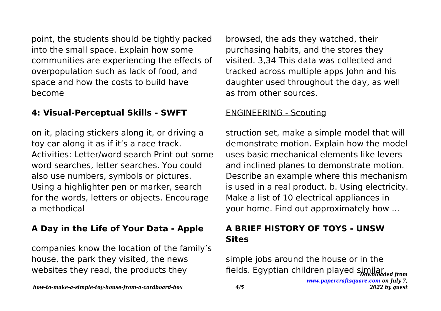point, the students should be tightly packed into the small space. Explain how some communities are experiencing the effects of overpopulation such as lack of food, and space and how the costs to build have become

#### **4: Visual-Perceptual Skills - SWFT**

on it, placing stickers along it, or driving a toy car along it as if it's a race track. Activities: Letter/word search Print out some word searches, letter searches. You could also use numbers, symbols or pictures. Using a highlighter pen or marker, search for the words, letters or objects. Encourage a methodical

## **A Day in the Life of Your Data - Apple**

companies know the location of the family's house, the park they visited, the news websites they read, the products they

browsed, the ads they watched, their purchasing habits, and the stores they visited. 3,34 This data was collected and tracked across multiple apps John and his daughter used throughout the day, as well as from other sources.

#### ENGINEERING - Scouting

struction set, make a simple model that will demonstrate motion. Explain how the model uses basic mechanical elements like levers and inclined planes to demonstrate motion. Describe an example where this mechanism is used in a real product. b. Using electricity. Make a list of 10 electrical appliances in your home. Find out approximately how ...

## **A BRIEF HISTORY OF TOYS - UNSW Sites**

fields. Egyptian children played similar *[www.papercraftsquare.com](https://www.papercraftsquare.com) on July 7, 2022 by guest* simple jobs around the house or in the